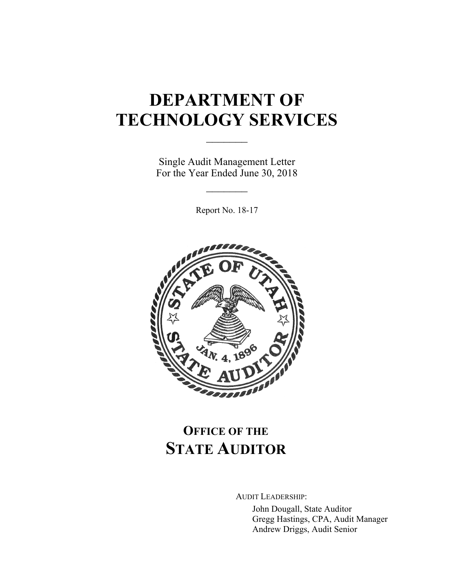# **DEPARTMENT OF TECHNOLOGY SERVICES**

Single Audit Management Letter For the Year Ended June 30, 2018

 $\frac{1}{2}$ 

 $\frac{1}{2}$ 

Report No. 18-17



# **OFFICE OF THE STATE AUDITOR**

AUDIT LEADERSHIP:

John Dougall, State Auditor Gregg Hastings, CPA, Audit Manager Andrew Driggs, Audit Senior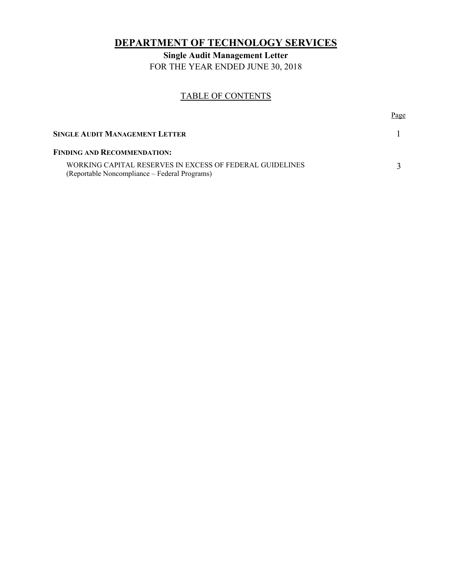# **DEPARTMENT OF TECHNOLOGY SERVICES**

**Single Audit Management Letter**  FOR THE YEAR ENDED JUNE 30, 2018

## TABLE OF CONTENTS

|                                                                                                           | Page |
|-----------------------------------------------------------------------------------------------------------|------|
| SINGLE AUDIT MANAGEMENT LETTER                                                                            |      |
| <b>FINDING AND RECOMMENDATION:</b>                                                                        |      |
| WORKING CAPITAL RESERVES IN EXCESS OF FEDERAL GUIDELINES<br>(Reportable Noncompliance – Federal Programs) |      |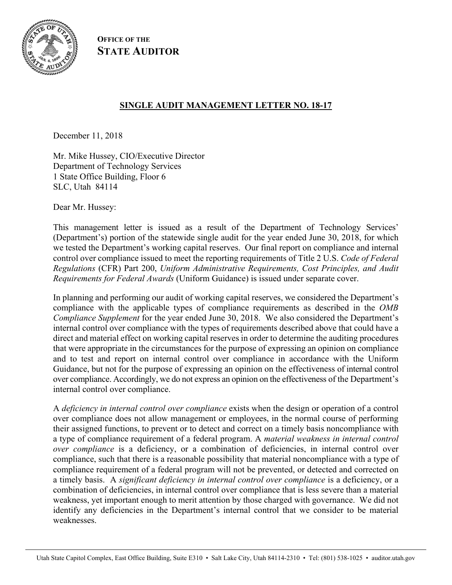

**OFFICE OF THE STATE AUDITOR**

# **SINGLE AUDIT MANAGEMENT LETTER NO. 18-17**

December 11, 2018

Mr. Mike Hussey, CIO/Executive Director Department of Technology Services 1 State Office Building, Floor 6 SLC, Utah 84114

Dear Mr. Hussey:

This management letter is issued as a result of the Department of Technology Services' (Department's) portion of the statewide single audit for the year ended June 30, 2018, for which we tested the Department's working capital reserves. Our final report on compliance and internal control over compliance issued to meet the reporting requirements of Title 2 U.S. *Code of Federal Regulations* (CFR) Part 200, *Uniform Administrative Requirements, Cost Principles, and Audit Requirements for Federal Awards* (Uniform Guidance) is issued under separate cover.

In planning and performing our audit of working capital reserves, we considered the Department's compliance with the applicable types of compliance requirements as described in the *OMB Compliance Supplement* for the year ended June 30, 2018. We also considered the Department's internal control over compliance with the types of requirements described above that could have a direct and material effect on working capital reserves in order to determine the auditing procedures that were appropriate in the circumstances for the purpose of expressing an opinion on compliance and to test and report on internal control over compliance in accordance with the Uniform Guidance, but not for the purpose of expressing an opinion on the effectiveness of internal control over compliance. Accordingly, we do not express an opinion on the effectiveness of the Department's internal control over compliance.

A *deficiency in internal control over compliance* exists when the design or operation of a control over compliance does not allow management or employees, in the normal course of performing their assigned functions, to prevent or to detect and correct on a timely basis noncompliance with a type of compliance requirement of a federal program. A *material weakness in internal control over compliance* is a deficiency, or a combination of deficiencies, in internal control over compliance, such that there is a reasonable possibility that material noncompliance with a type of compliance requirement of a federal program will not be prevented, or detected and corrected on a timely basis. A *significant deficiency in internal control over compliance* is a deficiency, or a combination of deficiencies, in internal control over compliance that is less severe than a material weakness, yet important enough to merit attention by those charged with governance. We did not identify any deficiencies in the Department's internal control that we consider to be material weaknesses.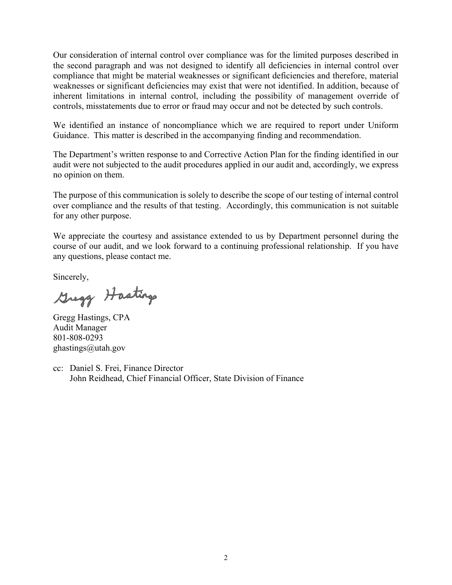Our consideration of internal control over compliance was for the limited purposes described in the second paragraph and was not designed to identify all deficiencies in internal control over compliance that might be material weaknesses or significant deficiencies and therefore, material weaknesses or significant deficiencies may exist that were not identified. In addition, because of inherent limitations in internal control, including the possibility of management override of controls, misstatements due to error or fraud may occur and not be detected by such controls.

We identified an instance of noncompliance which we are required to report under Uniform Guidance. This matter is described in the accompanying finding and recommendation.

The Department's written response to and Corrective Action Plan for the finding identified in our audit were not subjected to the audit procedures applied in our audit and, accordingly, we express no opinion on them.

The purpose of this communication is solely to describe the scope of our testing of internal control over compliance and the results of that testing. Accordingly, this communication is not suitable for any other purpose.

We appreciate the courtesy and assistance extended to us by Department personnel during the course of our audit, and we look forward to a continuing professional relationship. If you have any questions, please contact me.

Sincerely,

Gregg Hastings

Gregg Hastings, CPA Audit Manager 801-808-0293 ghastings@utah.gov

cc: Daniel S. Frei, Finance Director John Reidhead, Chief Financial Officer, State Division of Finance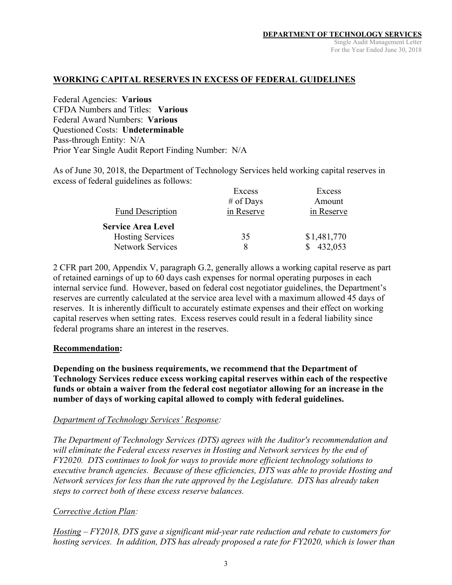# **WORKING CAPITAL RESERVES IN EXCESS OF FEDERAL GUIDELINES**

Federal Agencies: **Various**  CFDA Numbers and Titles: **Various**  Federal Award Numbers: **Various**  Questioned Costs: **Undeterminable** Pass-through Entity: N/A Prior Year Single Audit Report Finding Number: N/A

As of June 30, 2018, the Department of Technology Services held working capital reserves in excess of federal guidelines as follows:

|                           | Excess     | Excess      |
|---------------------------|------------|-------------|
|                           | # of Days  | Amount      |
| <b>Fund Description</b>   | in Reserve | in Reserve  |
| <b>Service Area Level</b> |            |             |
| <b>Hosting Services</b>   | 35         | \$1,481,770 |
| <b>Network Services</b>   | 8          | 432,053     |

2 CFR part 200, Appendix V, paragraph G.2, generally allows a working capital reserve as part of retained earnings of up to 60 days cash expenses for normal operating purposes in each internal service fund. However, based on federal cost negotiator guidelines, the Department's reserves are currently calculated at the service area level with a maximum allowed 45 days of reserves. It is inherently difficult to accurately estimate expenses and their effect on working capital reserves when setting rates. Excess reserves could result in a federal liability since federal programs share an interest in the reserves.

#### **Recommendation:**

**Depending on the business requirements, we recommend that the Department of Technology Services reduce excess working capital reserves within each of the respective funds or obtain a waiver from the federal cost negotiator allowing for an increase in the number of days of working capital allowed to comply with federal guidelines.** 

### *Department of Technology Services' Response:*

*The Department of Technology Services (DTS) agrees with the Auditor's recommendation and will eliminate the Federal excess reserves in Hosting and Network services by the end of FY2020. DTS continues to look for ways to provide more efficient technology solutions to executive branch agencies. Because of these efficiencies, DTS was able to provide Hosting and Network services for less than the rate approved by the Legislature. DTS has already taken steps to correct both of these excess reserve balances.* 

### *Corrective Action Plan:*

*Hosting – FY2018, DTS gave a significant mid-year rate reduction and rebate to customers for hosting services. In addition, DTS has already proposed a rate for FY2020, which is lower than*